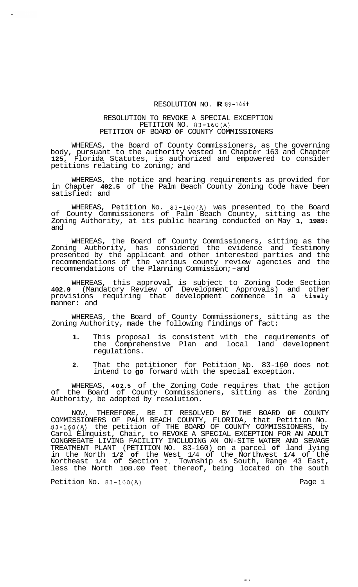## RESOLUTION NO. **R** *89-1443*

## RESOLUTION TO REVOKE A SPECIAL EXCEPTION PETITION NO. 83-160(A) PETITION OF BOARD **OF** COUNTY COMMISSIONERS

WHEREAS, the Board of County Commissioners, as the governing body, pursuant to the authority vested in Chapter 163 and Chapter **125,** Florida Statutes, is authorized and empowered to consider petitions relating to zoning; and

WHEREAS, the notice and hearing requirements as provided for in Chapter **402.5** of the Palm Beach County Zoning Code have been satisfied: and

WHEREAS, Petition No. 83-160(A) was presented to the Board of County Commissioners of Palm Beach County, sitting as the Zoning Authority, at its public hearing conducted on May **1, 1989:**  and

WHEREAS, the Board of County Commissioners, sitting as the Zoning Authority, has considered the evidence and testimony presented by the applicant and other interested parties and the recommendations of the various county review agencies and the recommendations of the Planning Commission;-and

WHEREAS, this approval is subject to Zoning Code Section **402.9** (Mandatory Review of Development Approvals) and other provisions requiring that development commence in a timely manner: and

WHEREAS, the Board of County Commissioners, sitting as the Zoning Authority, made the following findings of fact:

- **1.** This proposal is consistent with the requirements of the Comprehensive Plan and local land development regulations.
- **2.** That the petitioner for Petition No. 83-160 does not intend to **go** forward with the special exception.

WHEREAS, **402.5** of the Zoning Code requires that the action of the Board of County Commissioners, sitting as the Zoning Authority, be adopted by resolution.

NOW, THEREFORE, BE IT RESOLVED BY THE BOARD **OF** COUNTY COMMISSIONERS OF PALM BEACH COUNTY, FLORIDA, that Petition No. 83-160(A) the petition of THE BOARD OF COUNTY COMMISSIONERS, by Carol Elmquist, Chair, to REVOKE A SPECIAL EXCEPTION FOR AN ADULT CONGREGATE LIVING FACILITY INCLUDING AN ON-SITE WATER AND SEWAGE TREATMENT PLANT (PETITION NO. 83-160) on a parcel **of** land lying in the North **1/2 of** the West 1/4 of the Northwest **1/4** of the Northeast **1/4** of Section 7, Township 45 South, Range 43 East, less the North 108.00 feet thereof, being located on the south

 $\infty$  .

Petition No. 83-160(A) Petition No. 83-160(A)

 $\sim$